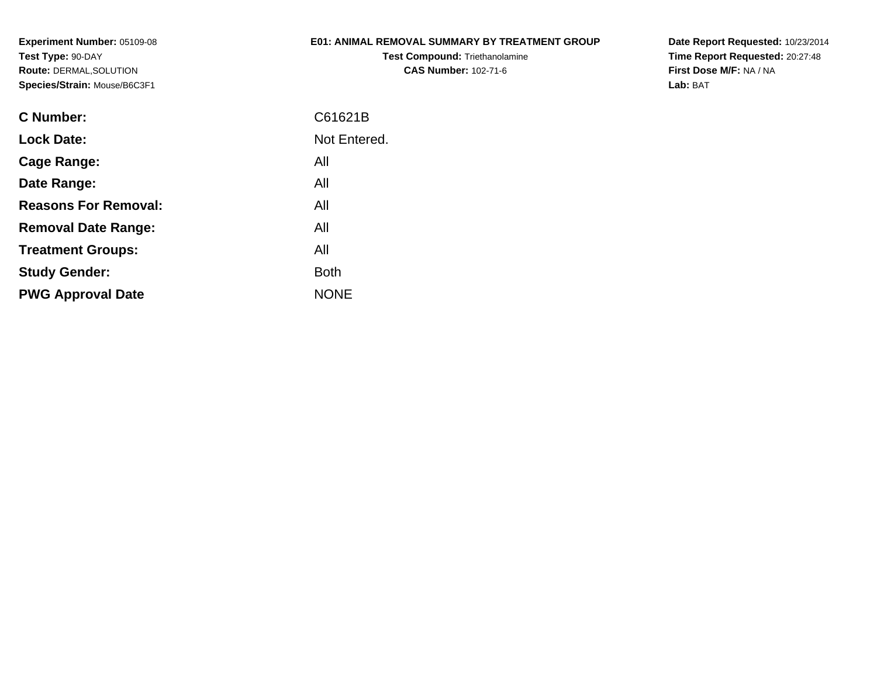# **E01: ANIMAL REMOVAL SUMMARY BY TREATMENT GROUP**

**Test Compound:** Triethanolamine**CAS Number:** 102-71-6

| C Number:                   | C61621B      |
|-----------------------------|--------------|
| <b>Lock Date:</b>           | Not Entered. |
| Cage Range:                 | All          |
| Date Range:                 | All          |
| <b>Reasons For Removal:</b> | All          |
| <b>Removal Date Range:</b>  | All          |
| <b>Treatment Groups:</b>    | All          |
| <b>Study Gender:</b>        | <b>Both</b>  |
| <b>PWG Approval Date</b>    | <b>NONE</b>  |
|                             |              |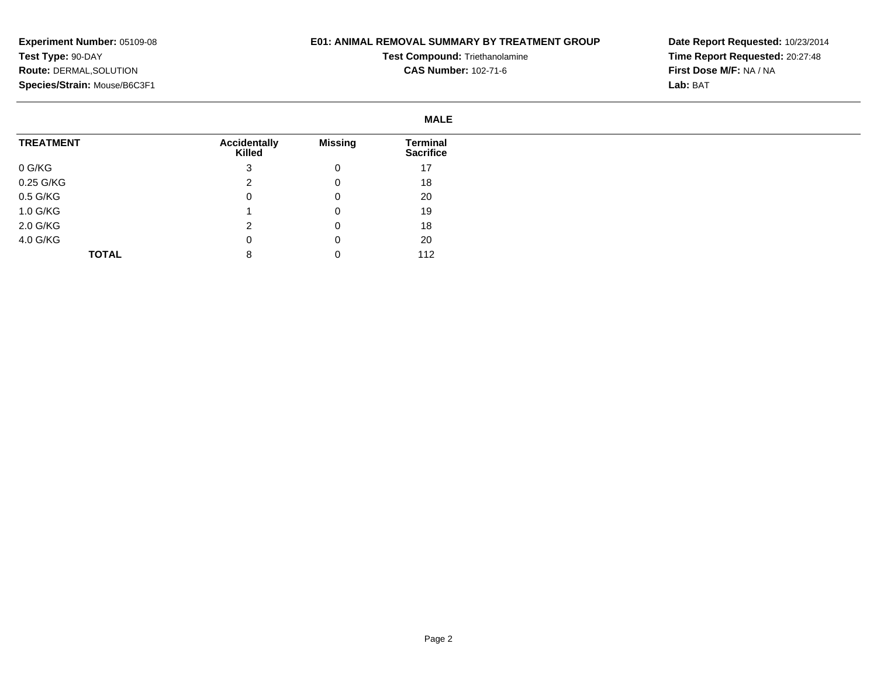## **E01: ANIMAL REMOVAL SUMMARY BY TREATMENT GROUP**

**Test Compound:** Triethanolamine**CAS Number:** 102-71-6

|                  |                               |                | <b>MALE</b>                         |
|------------------|-------------------------------|----------------|-------------------------------------|
| <b>TREATMENT</b> | <b>Accidentally</b><br>Killed | <b>Missing</b> | <b>Terminal</b><br><b>Sacrifice</b> |
| 0 G/KG           | 3                             | 0              | 17                                  |
| 0.25 G/KG        | ົ                             | 0              | 18                                  |
| 0.5 G/KG         | 0                             | 0              | 20                                  |
| 1.0 G/KG         |                               | 0              | 19                                  |
| 2.0 G/KG         | າ                             | 0              | 18                                  |
| 4.0 G/KG         | 0                             | 0              | 20                                  |
| <b>TOTAL</b>     | 8                             |                | 112                                 |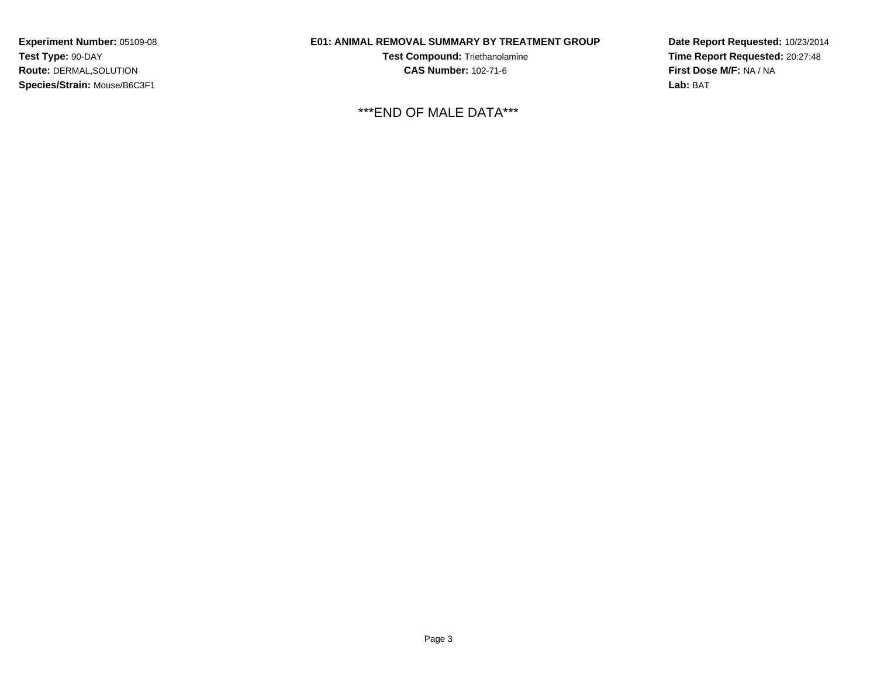# **E01: ANIMAL REMOVAL SUMMARY BY TREATMENT GROUP**

**Test Compound:** Triethanolamine**CAS Number:** 102-71-6

\*\*\*END OF MALE DATA\*\*\*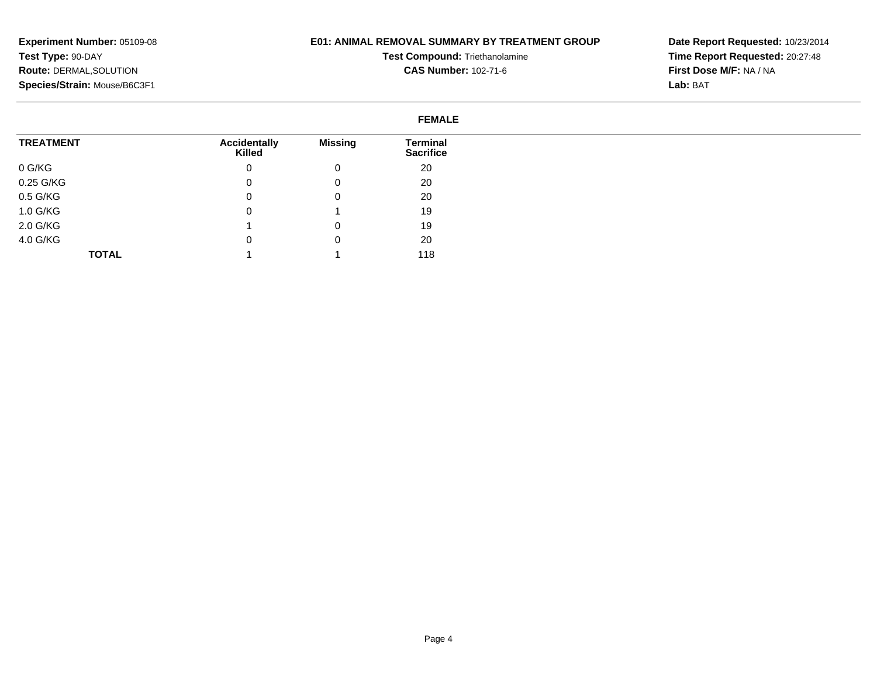### **E01: ANIMAL REMOVAL SUMMARY BY TREATMENT GROUP**

**Test Compound:** Triethanolamine**CAS Number:** 102-71-6

**Date Report Requested:** 10/23/2014**Time Report Requested:** 20:27:48**First Dose M/F:** NA / NA**Lab:** BAT

#### **FEMALETREATMENT**0 G/KG 0.25 G/KG 0.5 G/KG 1.0 G/KG 2.0 G/KG 4.0 G/KG**TOTALAccidentally Killed**0 $\overline{0}$  $\overline{0}$  0 1 $\overline{0}$  1**Missing**0 0 0 1 0 0 1**Terminal Sacrifice**20 20 20 19 19 20118